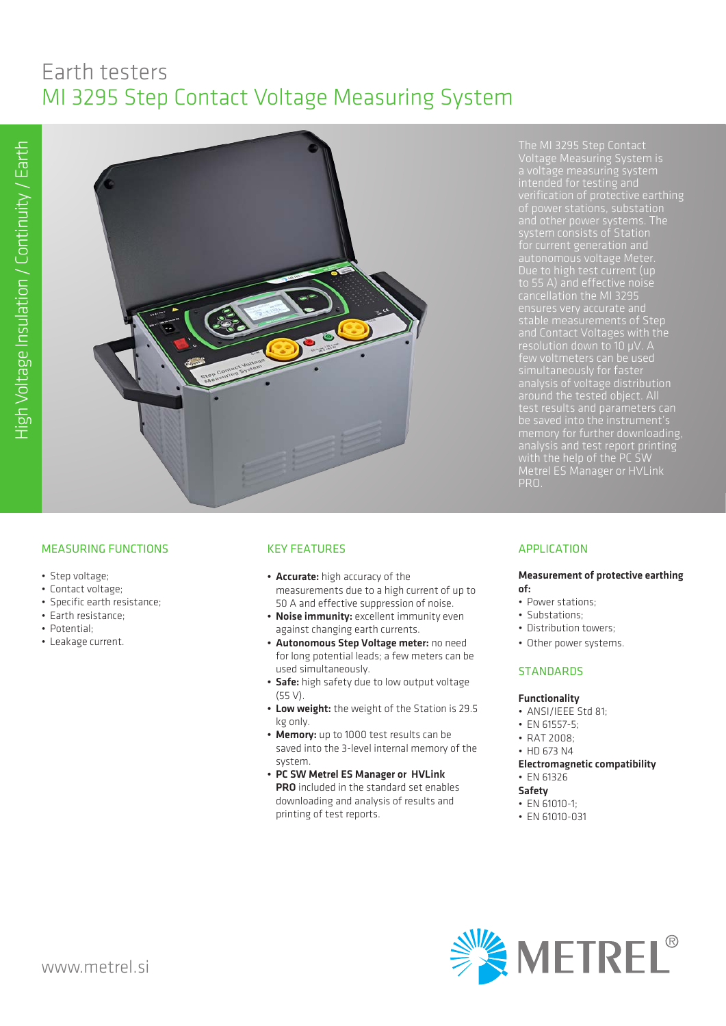# Earth testers MI 3295 Step Contact Voltage Measuring System



and other power systems. The cancellation the MI 3295 stable measurements of Step and Contact Voltages with the analysis of voltage distribution memory for further downloading, with the help of the PC SW Metrel ES Manager or HVLink PRO.

# MEASURING FUNCTIONS

- Step voltage;
- Contact voltage;
- Specific earth resistance;
- Earth resistance;
- Potential;
- Leakage current.

# KEY FEATURES

- Accurate: high accuracy of the measurements due to a high current of up to 50 A and effective suppression of noise.
- Noise immunity: excellent immunity even against changing earth currents.
- Autonomous Step Voltage meter: no need for long potential leads; a few meters can be used simultaneously.
- Safe: high safety due to low output voltage (55 V).
- Low weight: the weight of the Station is 29.5 kg only.
- Memory: up to 1000 test results can be saved into the 3-level internal memory of the system.
- PC SW Metrel ES Manager or HVLink PRO included in the standard set enables downloading and analysis of results and printing of test reports.

## APPLICATION

#### Measurement of protective earthing of:

- Power stations;
- Substations;
- Distribution towers;
- Other power systems.

#### **STANDARDS**

#### Functionality

- ANSI/IEEE Std 81;
- EN 61557-5;
- RAT 2008;
- HD 673 N4
- Electromagnetic compatibility
- EN 61326

# Safety

- EN 61010-1;
- EN 61010-031